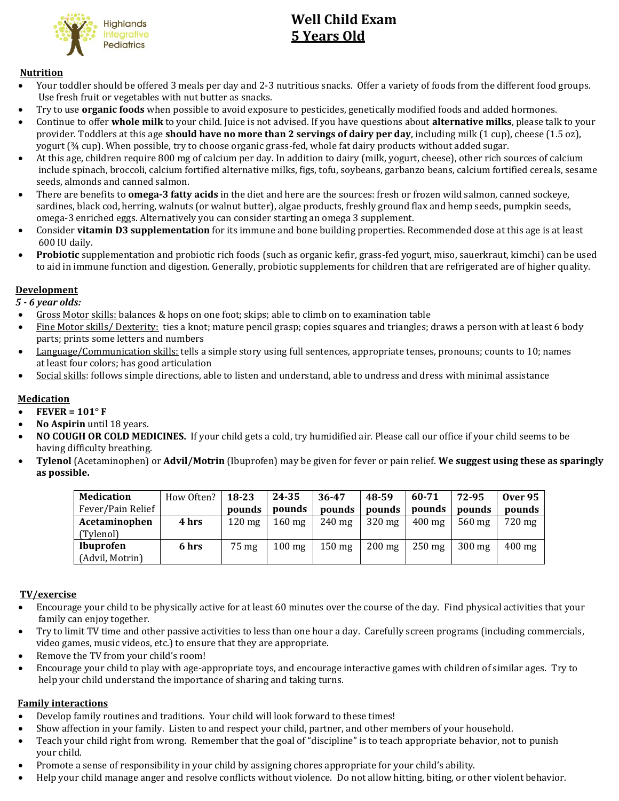

# **Well Child Exam 5 Years Old**

## **Nutrition**

- Your toddler should be offered 3 meals per day and 2-3 nutritious snacks. Offer a variety of foods from the different food groups. Use fresh fruit or vegetables with nut butter as snacks.
- Try to use **organic foods** when possible to avoid exposure to pesticides, genetically modified foods and added hormones.
- Continue to offer **whole milk** to your child. Juice is not advised. If you have questions about **alternative milks**, please talk to your provider. Toddlers at this age **should have no more than 2 servings of dairy per day**, including milk (1 cup), cheese (1.5 oz), yogurt (¾ cup). When possible, try to choose organic grass-fed, whole fat dairy products without added sugar.
- At this age, children require 800 mg of calcium per day. In addition to dairy (milk, yogurt, cheese), other rich sources of calcium include spinach, broccoli, calcium fortified alternative milks, figs, tofu, soybeans, garbanzo beans, calcium fortified cereals, sesame seeds, almonds and canned salmon.
- There are benefits to **omega-3 fatty acids** in the diet and here are the sources: fresh or frozen wild salmon, canned sockeye, sardines, black cod, herring, walnuts (or walnut butter), algae products, freshly ground flax and hemp seeds, pumpkin seeds, omega-3 enriched eggs. Alternatively you can consider starting an omega 3 supplement.
- Consider **vitamin D3 supplementation** for its immune and bone building properties. Recommended dose at this age is at least 600 IU daily.
- **Probiotic** supplementation and probiotic rich foods (such as organic kefir, grass-fed yogurt, miso, sauerkraut, kimchi) can be used to aid in immune function and digestion. Generally, probiotic supplements for children that are refrigerated are of higher quality.

## **Development**

 *5 - 6 year olds:*

- Gross Motor skills: balances & hops on one foot; skips; able to climb on to examination table
- Fine Motor skills/ Dexterity: ties a knot; mature pencil grasp; copies squares and triangles; draws a person with at least 6 body parts; prints some letters and numbers
- Language/Communication skills: tells a simple story using full sentences, appropriate tenses, pronouns; counts to 10; names at least four colors; has good articulation
- Social skills: follows simple directions, able to listen and understand, able to undress and dress with minimal assistance

## **Medication**

- **FEVER = 101° F**
- **No Aspirin** until 18 years.
- **NO COUGH OR COLD MEDICINES.** If your child gets a cold, try humidified air. Please call our office if your child seems to be having difficulty breathing.
- **Tylenol** (Acetaminophen) or **Advil/Motrin** (Ibuprofen) may be given for fever or pain relief. **We suggest using these as sparingly as possible.**

| <b>Medication</b> | How Often? | 18-23            | 24-35            | 36-47            | 48-59            | 60-71            | 72-95            | <b>Over 95</b> |
|-------------------|------------|------------------|------------------|------------------|------------------|------------------|------------------|----------------|
| Fever/Pain Relief |            | pounds           | pounds           | pounds           | pounds           | pounds           | pounds           | pounds         |
| Acetaminophen     | 4 hrs      | $120 \text{ mg}$ | $160 \text{ mg}$ | $240 \text{ mg}$ | $320 \text{ mg}$ | $400 \text{ mg}$ | $560 \text{ mg}$ | 720 mg         |
| (Tylenol)         |            |                  |                  |                  |                  |                  |                  |                |
| <b>Ibuprofen</b>  | 6 hrs      | 75 mg            | $100 \text{ mg}$ | $150 \text{ mg}$ | $200 \text{ mg}$ | $250 \text{ mg}$ | $300 \text{ mg}$ | $400$ mg       |
| (Advil, Motrin)   |            |                  |                  |                  |                  |                  |                  |                |

## **TV/exercise**

- Encourage your child to be physically active for at least 60 minutes over the course of the day. Find physical activities that your family can enjoy together.
- Try to limit TV time and other passive activities to less than one hour a day. Carefully screen programs (including commercials, video games, music videos, etc.) to ensure that they are appropriate.
- Remove the TV from your child's room!
- Encourage your child to play with age-appropriate toys, and encourage interactive games with children of similar ages. Try to help your child understand the importance of sharing and taking turns.

## **Family interactions**

- Develop family routines and traditions. Your child will look forward to these times!
- Show affection in your family. Listen to and respect your child, partner, and other members of your household.
- Teach your child right from wrong. Remember that the goal of "discipline" is to teach appropriate behavior, not to punish your child.
- Promote a sense of responsibility in your child by assigning chores appropriate for your child's ability.
- Help your child manage anger and resolve conflicts without violence. Do not allow hitting, biting, or other violent behavior.